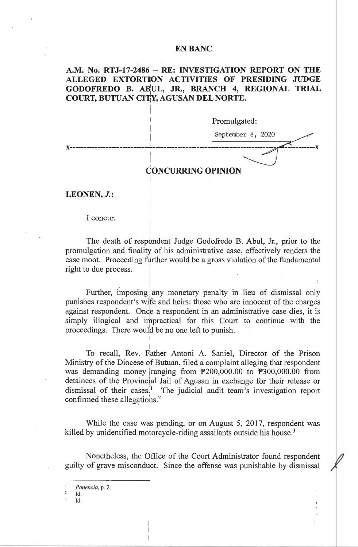## **EN BANC**

# A.M. No. RTJ-17-2486 - RE: INVESTIGATION REPORT ON THE **ALLEGED EXTORTION ACTIVITIES OF PRESIDING JUDGE**  GODOFREDO B. ABUL, JR., BRANCH 4, REGIONAL TRIAL **COURT, BUTUAN CITY, AGUSAN DEL NORTE.**

I

 $\mathbf{I}$ 

I I

I

Promulgated:

September 8, 2020 **x-----------------------------: --------------------------------z -------x** 

# **CONCURRING OPINION**

**LEONEN, J.:** 

I concur.

The death of respondent Judge Godofredo B. Abul, Jr., prior to the promulgation and finality of his administrative case, effectively renders the case moot. Proceeding further would be a gross violation of the fundamental right to due process. . .

Further, imposing any monetary penalty in lieu of dismissal only punishes respondent's wife and heirs: those who are innocent of the charges against respondent. Once a respondent in an administrative case dies, it is simply illogical and impractical for this Court to continue with the proceedings. There would be no one left to punish.

To recall, Rev. Father Antoni A. Saniel, Director of the Prison Ministry of the Diocese of Butuan, filed a complaint alleging that respondent was demanding money ranging from  $P200,000.00$  to  $P300,000.00$  from detainees of the Provincial Jail of Agusan in exchange for their release or dismissal of their cases.<sup>1</sup> The judicial audit team's investigation report confirmed these allegations. $2$ 

While the case was pending, or on August 5, 2017, respondent was killed by unidentified motorcycle-riding assailants outside his house.<sup>3</sup>

Nonetheless, the Office of the Court Administrator found respondent / guilty of grave misconduct. Since the offense was punishable by dismissal

Id.<br>Id.

<sup>1</sup>*Ponencia,* p. 2.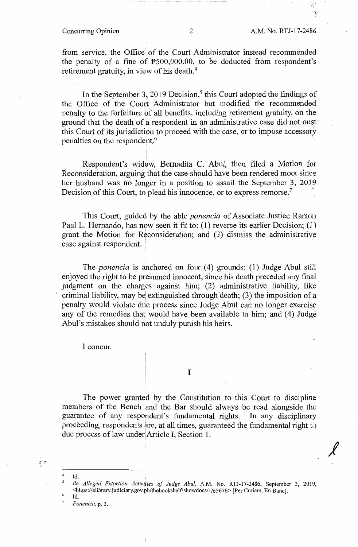$^{\circ}$  L  $^{\circ}$ ' )

*I* 

from service, the Office of the Court Administrator instead recommended the penalty of a fine of  $P500,000.00$ , to be deducted from respondent's retirement gratuity, in view of his death.<sup>4</sup>

In the September 3, 2019 Decision,<sup>5</sup> this Court adopted the findings of the Office of the Court Administrator but modified the recommended penalty to the forfeiture bf all benefits, including retirement gratuity, on the ground that the death of a respondent in an administrative case did not oust  $\cdot$ this Court of its jurisdiction to proceed with the case, or to impose accessory penalties on the respondent.<sup>6</sup>

! Respondent's widow, Bernadita C. Abul, then filed a Motion for Reconsideration, arguing that the case should have been rendered moot since her husband was no longer in a position to assail the September 3, 2019 Decision of this Court, to plead his innocence, or to express remorse.<sup>7</sup>

I

'

This Court, guided by the able *ponencia* of Associate Justice Ramda Paul L. Hernando, has now seen it fit to: (1) reverse its earlier Decision; (2) grant the Motion for Reconsideration; and (3) dismiss the administrative case against respondent.

I The *ponencia* is ahchored on four (4) grounds: (1) Judge Abul still enjoyed the right to be presumed innocent, since his death preceded any final judgment on the charges against him; (2) administrative liability, like criminal liability, may be extinguished through death;  $(3)$  the imposition of a penalty would violate due process since Judge Abul can no longer exercise any of the remedies that would have been available to him; and (4) Judge Abul's mistakes should not unduly punish his heirs.

I concur.

I

The power granted by the Constitution to this Court to discipline members of the Bench and the Bar should always be read alongside the guarantee of any respondent's fundamental rights. In any disciplinary proceeding, respondents are, at all times, guaranteed the fundamental right to due process of law under Article I, Section 1:

英县

*5 Re Alleged Extortion Activities of Judge Abu!,* A.M. No. RTJ-17-2486, September 3, 2019, <https://elibrary.judiciary.gov.ph/thebookshelf/showdocs/1/65676> [Per Curiam, En Banc].

 $\mathbf{Id.}$ 

 $4$  Id.

<sup>7</sup>*Ponencia,* p. 3.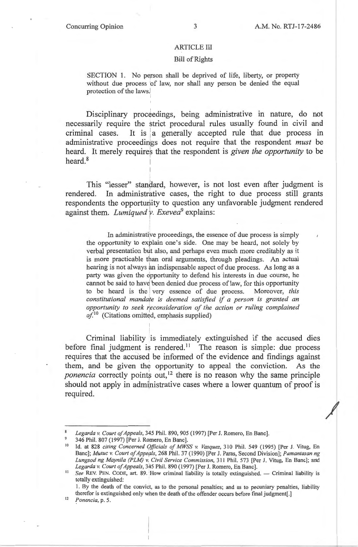*I* 

### ARTICLE III

### Bill of Rights

SECTION 1. No person shall be deprived of life, liberty, or property without due process 'of law, nor shall any person be denied the equal protection of the laws.!

Disciplinary proceedings, being administrative in nature, do not necessarily require the strict procedural rules usually found in civil and criminal cases. It is a generally accepted rule that due process in administrative proceedings does not require that the respondent *must* be heard. It merely requires that the respondent is *given the opportunity* to be I heard.<sup>8</sup>

This "lesser" standard, however, is not lost even after judgment is rendered. In administrative cases, the right to due process still grants respondents the opportunity to question any unfavorable judgment rendered against them. *Lumiqued v. Exevea*<sup>9</sup> explains:

i In administrative proceedings, the essence of due process is simply the opportunity to explain one's side. One may be heard, not solely by verbal presentation but also, and perhaps even much more creditably as it is more practicable than oral arguments, through pleadings. An actual hearing is not always an indispensable aspect of due process. As long as a party was given the opportunity to defend his interests in due course, he cannot be said to have been denied due process of law, for this opportunity to be heard is the very essence of due process. Moreover, *this* constitutional mandate is deemed satisfied if a person is granted an *opportunity to seek ~econsideration of the action or ruling complained*   $of^{10}$  (Citations omitted, emphasis supplied)

Criminal liability is immediately extinguished if the accused dies before final judgment is rendered.<sup>11</sup> The reason is simple: due process requires that the accused be informed of the evidence and findings against them, and be given the opportunity to appeal the conviction. As the *ponencia* correctly points out,<sup>12</sup> there is no reason why the same principle should not apply in administrative cases where a lower quantum of proof is required.

<sup>12</sup>*Ponencia,* p. 5.

*Legarda v. Court of Appeals,* 345 Phil. 890, 905 (1997) [Per J. Romero, En Banc].

<sup>9</sup>346 Phil. 807 (1997) [Per J. Romero, En Banc].

<sup>&</sup>lt;sup>10</sup> Id. at 828 *citing Concerned Officials of MWSS v. Vasquez*, 310 Phil. 549 (1995) [Per J. Vitug, En Banc]; *Mutuc v. Court of Appeals*, 268 Phil. 37 (1990) [Per J. Paras, Second Division]; *Pamantasan ng* Lungsod ng Maynila (PLM) v. Civil Service Commission, 311 Phil. 573 [Per J. Vitug, En Banc]; and *Legarda v. Court of Appeals,* 345 Phil. 890 ( 1997) [Per J. Romero, En Banc].

<sup>&</sup>lt;sup>11</sup> See REV. PEN. CODE, art. 89. How criminal liability is totally extinguished. - Criminal liability is totally extinguished:

<sup>1.</sup> By the death of the convict, as to the personal penalties; and as to pecuniary penalties, liability therefor is extinguished only when the death of the offender occurs before final judgment[.]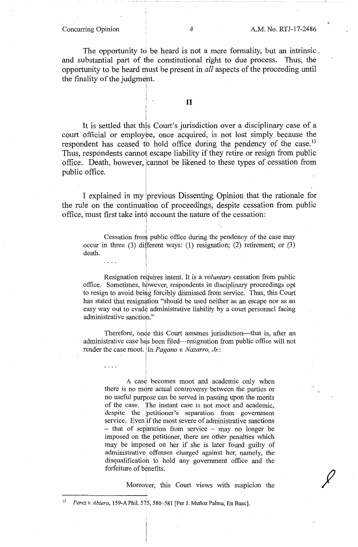The opportunity to be heard is not a mere formality, but an intrinsic. and substantial part of the constitutional right to due process. Thus, the opportunity to be heard must be present in *all* aspects of the proceeding until the finality of the judgment.

# II

I

I

I I

i

i  $\mathbf{I}$ 

 $\mathbf{f} = \mathbf{f} \times \mathbf{f}$ 

It is settled that this Court's jurisdiction over a disciplinary case of a court official or employee, once acquired, is not lost simply because the respondent has ceased to hold office during the pendency of the case.<sup>13</sup> Thus, respondents cannot escape liability if they retire or resign from public office. Death, however, jcannot be likened to these types of cessation from public office.

I explained in my previous Dissenting Opinion that the rationale for the rule on the continuation of proceedings, despite cessation from public office, must first take into account the nature of the cessation:

Cessation from public office during the pendency of the case may occur in three (3) different ways: (L) resignation; (2) retirement; or (3) death.

Resignation requires intent. It is a *voluntary* cessation from public office. Sometimes, hbwever, respondents in disciplinary proceedings opt to resign to avoid being forcibly dismissed from service. Thus, this Court has stated that resignation "should be used neither as an escape nor as an easy way out to evade administrative liability by a court personnel facing administrative sanctioh."

Therefore, once this Court assumes jurisdiction—that is, after an administrative case has been filed-resignation from public office will not render the case moot. In *Pagano v. Nazarro, Jr.:* 

A case becomes moot and academic only when there is no more actual controversy between the parties or no useful purpose can be served in passing upon the merits of the case. The instant case is not moot and academic, despite the petitioner's separation from government service. Even if the most severe of administrative sanctions - that of separation from service - may no longer be imposed on the petitioner, there are other penalties which may be imposed on her if she is later found guilty of administrative; offenses charged against her, namely, the disqualificatioh to hold any government office and the forfeiture of benefits.

Moreover, this Court views with suspicion the

*I* 

<sup>13</sup>*Perez v. Abiera,* 159-A Phil. 575, 580-581 [Per J. Munoz Palma, En Banc].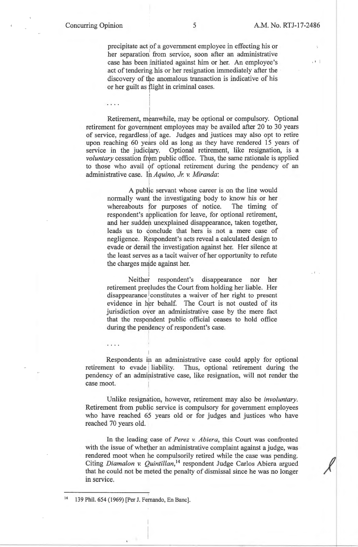I I

precipitate act of a government employee in effecting his or her separation from service, soon after an administrative case has been :initiated against him or her. An employee's act of tendering his or her resignation immediately after the discovery of the anomalous transaction is indicative of his or her guilt as flight in criminal cases.

Retirement, meanwhile, may be optional or compulsory. Optional retirement for government employees may be availed after 20 to 30 years of service, regardless of age. Judges and justices may also opt to retire upon reaching 60 years old as long as they have rendered 15 years of service in the judiciary. Optional retirement, like resignation, is a *voluntary* cessation from public office. Thus, the same rationale is applied to those who avail of optional retirement during the pendency of an administrative case. In *Aquino, Jr. v. Miranda*:

I I

į.

!

 $\cdots$ 

I A public servant whose career is on the line would normally want the investigating body to know his or her whereabouts for purposes of notice. The timing of respondent's application for leave, for optional retirement, and her sudden unexplained disappearance, taken together, leads us to conclude that hers is not a mere case of negligence. Respondent's acts reveal a calculated design to evade or derail the investigation against her. Her silence at the least serves as a tacit waiver of her opportunity to refute the charges made against her.

Neither respondent's disappearance nor her retirement preeludes the Court from holding her liable. Her disappearance constitutes a waiver of her right to present evidence in her behalf. The Court is not ousted of its jurisdiction over an administrative case by the mere fact that the respondent public official ceases to hold office during the pendency of respondent's case.

Respondents ih an administrative case could apply for optional retirement to evade liability. Thus, optional retirement during the pendency of an administrative case, like resignation, will not render the I case moot.

Unlike resignation, however, retirement may also be *involuntary*. Retirement from public service is compulsory for government employees who have reached 65 years old or for judges and justices who have reached 70 years old.

In the leading case of *Perez v. Abiera,* this Court was confronted with the issue of whether an administrative complaint against a judge, was rendered moot when he compulsorily retired while the case was pending. Citing *Diamalon v. Quintillan*,<sup>14</sup> respondent Judge Carlos Abiera argued that he could not be meted the penalty of dismissal since he was no longer in service.

<sup>14 139</sup> Phil. 654 (1969) [Per J. Fernando, En Banc].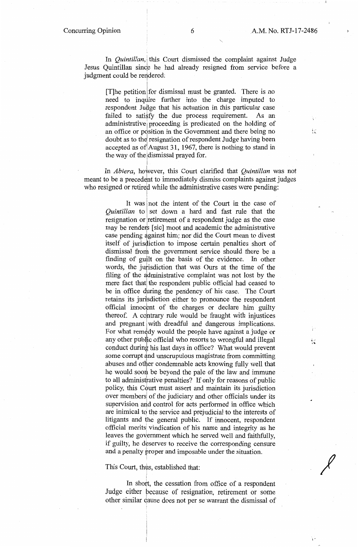$\frac{1}{2}\frac{1}{2}$ 

1 ·

野島

 $\frac{1}{2}$ 

*I* 

In *Quintillan*, this Court dismissed the complaint against Judge Jesus Quintillan since he had already resigned from service before a judgment could be rendered:

[T] he petition for dismissal must be granted. There is no need to inquire further into the charge imputed to respondent Judge that his actuation in this particular case failed to satisfy the due process requirement. As an administrative proceeding is predicated on the holding of an office or position in the Government and there being no doubt as to the resignation of respondent Judge having been accepted as of August 31, 1967, there is nothing to stand in the way of the dismissal prayed for.

In *Abiera*, however, this Court clarified that *Quintillan* was not meant to be a precedent to immediately dismiss complaints against judges who resigned or retired while the administrative cases were pending:

It was not the intent of the Court in the case of *Quintillan* to set down a hard and fast rule that the resignation or retirement of a respondent judge as the case may be renders [sic] moot and academic the administrative  $\frac{1}{2}$ case pending against him; nor did the Court mean to divest itself of jurisdiction to impose certain penalties short of dismissal from the government service should there be a finding of guilt on the basis of the evidence. In other words, the jurisdiction that was Ours at the time of the filing of the administrative complaint was not lost by the mere fact that the respondent public official had ceased to be in office during the pendency of his case. The Court retains its jurisdiction either to pronounce the respondent official innocent of the charges or declare him guilty thereof. A contrary rule would be fraught with injustices and pregnant with dreadful and dangerous implications. For what remedy would the people have against a judge or any other public official who resorts to wrongful and illegal conduct during his last days in office? What would prevent some corrupt and unscrupulous magistrate from committing abuses and other condemnable acts knowing fully well that he would soon be beyond the pale of the law and immune to all administrative penalties? If only for reasons of public policy, this Court must assert and maintain its jurisdiction over members of the judiciary and other officials under its supervision and control for acts performed in office which are inimical to the service and prejudicial to the interests of litigants and the general public. If innocent, respondent official meritsi vindication of his name and integrity as he leaves the government which he served well and faithfully, if guilty, he deserves to receive the corresponding censure and a penalty proper and imposable under the situation.

### This Court, thus, established that:

In short, the cessation from office of a respondent Judge either pecause of resignation, retirement or some other similar dause does not per se warrant the dismissal of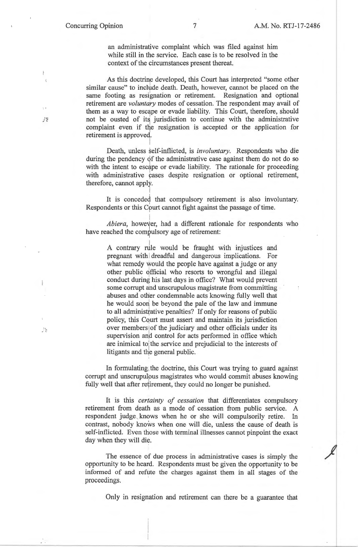an administrative complaint which was filed against him while still in the service. Each case is to be resolved in the context of the circumstances present thereat.

As this doctrine developed, this Court has interpreted "some other similar cause" to include death. Death, however, cannot be placed on the same footing as resignation or retirement. Resignation and optional retirement are *voluntary* modes of cessation. The respondent may avail of them as a way to escape or evade liability. This Court, therefore, should not be ousted of its jurisdiction to continue with the administrative complaint even if the resignation is accepted or the application for retirement is approvel  $\vert$ 

Death, unless self-inflicted, is *involuntary.* Respondents who die during the pendency of the administrative case against them do not do so with the intent to escape or evade liability. The rationale for proceeding with administrative cases despite resignation or optional retirement, therefore, cannot apply.

It is conceded that compulsory retirement is also involuntary. Respondents or this Cpurt cannot fight against the passage of time.

i *Abiera,* however, had a different rationale for respondents who have reached the compulsory age of retirement:

A contrary rule would be fraught with injustices and pregnant with dreadful and dangerous implications. For what remedy would the people have against a judge or any other public official who resorts to wrongful and illegal conduct during his last days in office? What would prevent some corrupt ahd unscrupulous magistrate from committing abuses and other condemnable acts knowing fully well that he would soon' be beyond the pale of the law and immune to all administfative penalties? If only for reasons of public policy, this Cqurt must assert and maintain its jurisdiction over members of the judiciary and other officials under its supervision and control for acts performed in office which are inimical to the service and prejudicial to the interests of litigants and the general public.

In formulating the doctrine, this Court was trying to guard against corrupt and unscrupulous magistrates who would commit abuses knowing fully well that after retirement, they could no longer be punished.

It is this *certainty of cessation* that differentiates compulsory retirement from death as a mode of cessation from public service. A respondent judge , knows when he or she will compulsorily retire. In contrast, nobody knows when one will die, unless the cause of death is self-inflicted. Even those with terminal illnesses cannot pinpoint the exact day when they will die.

The essence of due process in administrative cases is simply the opportunity to be heard. Respondents must be given the opportunity to be informed of and refute the charges against them in all stages of the proceedings.

Only in resignation and retirement can there be a guarantee that

过望

式

 $\bar{\xi}$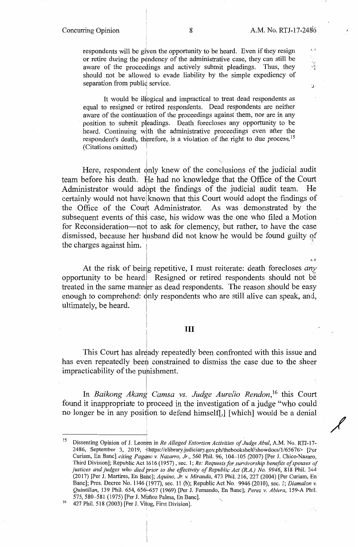a d

 $\frac{1}{2}$ 

 $\mathbf{r}$ 

/'

W.

respondents will be given the opportunity to be heard. Even if they resign or retire during the pendency of the administrative case, they can still be aware of the proceedings and actively submit pleadings. Thus, they should not be allowed to evade liability by the simple expediency of separation from public service.

It would be illogical and impractical to treat dead respondents as equal to resigned or retired respondents. Dead respondents are neither aware of the continuation of the proceedings against them, nor are in any position to submit pleadings. Death forecloses any opportunity to be heard. Continuing with the administrative proceedings even after the respondent's death, therefore, is a violation of the right to due process.<sup>15</sup> (Citations omitted)

i 'n beskrywer in de beskrywer in de beskrywer in de beskrywer in de beskrywer in de beskrywer in de beskrywer<br>De beskrywer in de beskrywer in de beskrywer in de beskrywer in de beskrywer in de beskrywer in de beskrywer i

 $\mathbf{I}$ 

Here, respondent only knew of the conclusions of the judicial audit team before his death. He had no knowledge that the Office of the Court Administrator would adbpt the findings of the judicial audit team. He certainly would not have known that this Court would adopt the findings of the Office of the Court Administrator. As was demonstrated by the subsequent events of this case, his widow was the one who filed a Motion for Reconsideration-not to ask for clemency, but rather, to have the case dismissed, because her husband did not know he would be found guilty of the charges against him. !

At the risk of beirig repetitive, I must reiterate: death forecloses *any*  opportunity to be heard Resigned or retired respondents should not be treated in the same manner as dead respondents. The reason should be easy enough to comprehend: only respondents who are still alive can speak, and, ultimately, be heard.

I ~ ll

### III

This Court has already repeatedly been confronted with this issue and has even repeatedly been constrained to dismiss the case due to the sheer impracticability of the punishment.

In *Baikong Akang Camsa vs. Judge Aurelio Rendon,* 16 this Court found it inappropriate to proceed in the investigation of a judge "who could no longer be in any position to defend himself[,] [which] would be a denial

<sup>&</sup>lt;sup>15</sup> Dissenting Opinion of J. Leonen in *Re Alleged Extortion Activities of Judge Abul*, A.M. No. RTJ-17-2486, September 3, 2019, <https://elibrary.judiciary.gov.ph/thebookshelf/showdocs/1/65676> [Per Curiam, En Banc] *citing Pagano v. Nazarro, Jr.,* 560 Phil. 96, 104-105 (2007) [Per J. Chico-Nazaro, Third Division]; Republic Act i616 (1957), sec. I; *Re: Requests for survivorship benefits of spouses of justices and judges who died prior to the ejfectivity of Republic Act (R.A.) No. 9946,* 818 Phil. 344 (2017) [Per J. Martires, En Bahe]; *Aquino, Jr. v. Miranda,* 473 Phil. 216,227 (2004) [Per Curiam, En Banc]; Pres. Decree No. 1146 (1977), sec. 11 (b); Republic Act No. 9946 (2010), sec. 1; *Diamalon* v. *Quintilian,* 139 Phil. 654, 656+-657 (1969) [Per J. Fernando, En Banc]; *Perez v. Abiera,* 159-A Phil. 575, 580-581 (1975) [Per J. Muñoz Palma, En Banc].<br><sup>16</sup> 427 Phil. 518 (2003) [Per J. Vitug, First Division].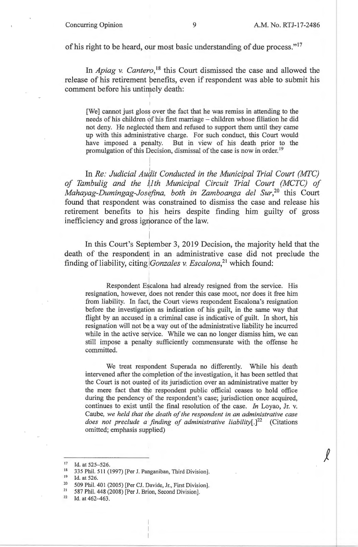$\ell$ 

of his right to be heard, our most basic understanding of due process."<sup>17</sup>

I I

I

In *Apiag v. Cantero*,<sup>18</sup> this Court dismissed the case and allowed the release of his retirement benefits, even if respondent was able to submit his comment before his untimely death:

[We] cannot just gloss over the fact that he was remiss in attending to the needs of his children of his first marriage - children whose filiation he did not deny. He neglected them and refused to support them until they came up with this administrative charge. For such conduct, this Court would have imposed a penalty. But in view of his death prior to the promulgation of this Decision, dismissal of the case is now in order.<sup>19</sup>

In *Re: Judicial Audit Conducted in the Municipal Trial Court (MTC) of Tambulig and the ~1th Municipal Circuit Trial Court (MCTC) of Mahayag-Dumingag-Josefina, both in Zamboanga del Sur*,<sup>20</sup> this Court found that respondent was constrained to dismiss the case and release his I retirement benefits to his heirs despite finding him guilty of gross inefficiency and gross ignorance of the law. I

In this Court's September 3, 2019 Decision, the majority held that the death of the respondent in an administrative case did not preclude the finding of liability, citing *Gonzales v. Escalona*<sup>21</sup> which found:

Respondent Escalona had already resigned from the service. His resignation, however, does not render this case moot, nor does it free him from liability. In fact; the Court views respondent Escalona's resignation before the investigation as indication of his guilt, in the same way that flight by an accused in a criminal case is indicative of guilt. In short, his resignation will not be a way out of the administrative liability he incurred while in the active service. While we can no longer dismiss him, we can still impose a penalty sufficiently commensurate with the offense he committed.

We treat respondent Superada no differently. While his death intervened after the completion of the investigation, it has been settled that the Court is not ousted of its jurisdiction over an administrative matter by the mere fact that the respondent public official ceases to hold office during the pendency of the respondent's case; jurisdiction once acquired, continues to exist until the final resolution of the case. *In* Loyao, Jr. v. Caube, *we held that the death of the respondent in an administrative case does not preclude a finding of administrative liability[.]22* (Citations omitted; emphasis supplied)

<sup>17</sup> Id. at 525-526.

<sup>&</sup>lt;sup>18</sup> 335 Phil. 511 (1997) [Per J. Panganiban, Third Division].

<sup>&</sup>lt;sup>19</sup> Id. at 526.<br><sup>20</sup> 509 Phil. 401 (2005) [Per CJ. Davide, Jr., First Division].<br><sup>21</sup> 587 Phil. 448 (2008) [Per J. Prion, Second Division].

<sup>&</sup>lt;sup>21</sup> 587 Phil. 448 (2008) [Per J. Brion, Second Division]. <sup>22</sup> Id. at 462-463.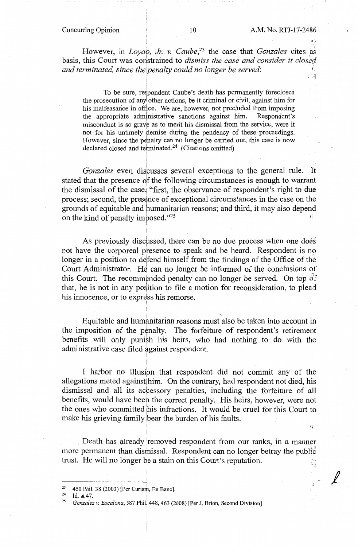$\mathbf{v}_1^i$ 

 $\ell$ 

**However,** in *Loyao, Jr. V. Caube,23* **the case that** *Gonzales* **cites as**  basis, this Court was constrained to *dismiss the case and consider it closed* and terminated, since the penalty could no longer be served:  $\mathcal{L}^{\text{S}}$  $\mathbb{Z}^4$ 

i To be sure, respondent Caube's death has permanently foreclosed the prosecution of anyl other actions, be it criminal or civil, against him for his malfeasance in office. We are, however, not precluded from imposing the appropriate administrative sanctions against him. Respondent's misconduct is so grave as to merit his dismissal from the service, were it not for his untimely demise during the pendency of these proceedings. However, since the penalty can no longer be carried out, this case is now declared closed and terminated.<sup>24</sup> (Citations omitted)

Gonzales even discusses several exceptions to the general rule. It stated that the presence of the following circumstances is enough to warrant the dismissal of the case: "first, the observance of respondent's right to due process; second, the presence of exceptional circumstances in the case on the grounds of equitable and humanitarian reasons; and third, it may also depend on the kind of penalty imposed."<sup>25</sup>

As previously discussed, there can be no due process when one does not have the corporeal presence to speak and be heard. Respondent is no longer in a position to defend himself from the findings of the Office of the Court Administrator. He can no longer be informed of the conclusions of this Court. The recommended penalty can no longer be served. On top  $\frac{1}{2}$ that, he is not in any position to file a motion for reconsideration, to plead his innocence, or to express his remorse.

Equitable and humanitarian reasons must also be taken into account in the imposition of the penalty. The forfeiture of respondent's retirement benefits will only punish his heirs, who had nothing to do with the administrative case filed against respondent.

I harbor no illusion that respondent did not commit any of the allegations meted against him. On the contrary, had respondent not died, his dismissal and all its accessory penalties, including the forfeiture of all benefits, would have been the correct penalty. His heirs, however, were not the ones who committed his infractions. It would be cruel for this Court to make his grieving family bear the burden of his faults.

Death has already removed respondent from our ranks, in a manner more permanent than dismissal. Respondent can no longer betray the public trust. He will no longer be a stain on this Court's reputation. 픊

!  $\mathbf{I}$ 

<sup>23 450</sup> Phil. 38 (2003) [Per Curiam, En Banc].<br>
<sup>24</sup> Id. at 47.<br> *<sup>25</sup> Gonzalez v. Escalona*, 587 Phil. 448, 463 (2008) [Per J. Brion, Second Division].